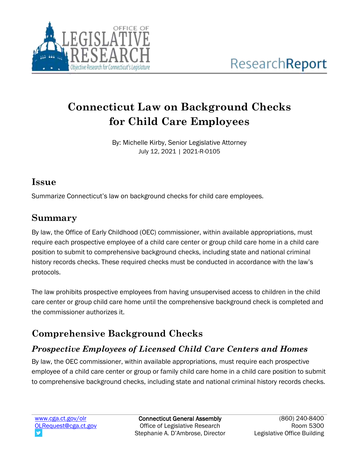

# **Connecticut Law on Background Checks for Child Care Employees**

By: Michelle Kirby, Senior Legislative Attorney July 12, 2021 | 2021-R-0105

#### **Issue**

Summarize Connecticut's law on background checks for child care employees.

## **Summary**

By law, the Office of Early Childhood (OEC) commissioner, within available appropriations, must require each prospective employee of a child care center or group child care home in a child care position to submit to comprehensive background checks, including state and national criminal history records checks. These required checks must be conducted in accordance with the law's protocols.

The law prohibits prospective employees from having unsupervised access to children in the child care center or group child care home until the comprehensive background check is completed and the commissioner authorizes it.

## **Comprehensive Background Checks**

### *Prospective Employees of Licensed Child Care Centers and Homes*

By law, the OEC commissioner, within available appropriations, must require each prospective employee of a child care center or group or family child care home in a child care position to submit to comprehensive background checks, including state and national criminal history records checks.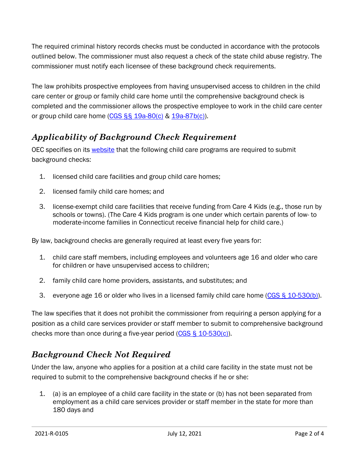The required criminal history records checks must be conducted in accordance with the protocols outlined below. The commissioner must also request a check of the state child abuse registry. The commissioner must notify each licensee of these background check requirements.

The law prohibits prospective employees from having unsupervised access to children in the child care center or group or family child care home until the comprehensive background check is completed and the commissioner allows the prospective employee to work in the child care center or group child care home (CGS §§ [19a-80\(c\)](https://www.cga.ct.gov/current/pub/chap_368a.htm#sec_19a-80) & [19a-87b\(c\)\)](https://www.cga.ct.gov/current/pub/chap_368a.htm#sec_19a-87b).

#### *Applicability of Background Check Requirement*

OEC specifies on its [website](https://www.ctoec.org/background-checks/questions-and-answers/) that the following child care programs are required to submit background checks:

- 1. licensed child care facilities and group child care homes;
- 2. licensed family child care homes; and
- 3. license-exempt child care facilities that receive funding from Care 4 Kids (e.g., those run by schools or towns). (The Care 4 Kids program is one under which certain parents of low- to moderate-income families in Connecticut receive financial help for child care.)

By law, background checks are generally required at least every five years for:

- 1. child care staff members, including employees and volunteers age 16 and older who care for children or have unsupervised access to children;
- 2. family child care home providers, assistants, and substitutes; and
- 3. everyone age 16 or older who lives in a licensed family child care home  $(CGS \S 10-530(b))$ .

The law specifies that it does not prohibit the commissioner from requiring a person applying for a position as a child care services provider or staff member to submit to comprehensive background checks more than once during a five-year period [\(CGS § 10-530\(c\)\)](https://www.cga.ct.gov/current/pub/chap_184c.htm#sec_10-530).

#### *Background Check Not Required*

Under the law, anyone who applies for a position at a child care facility in the state must not be required to submit to the comprehensive background checks if he or she:

1. (a) is an employee of a child care facility in the state or (b) has not been separated from employment as a child care services provider or staff member in the state for more than 180 days and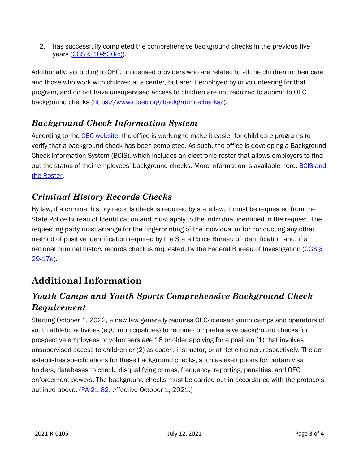2. has successfully completed the comprehensive background checks in the previous five years [\(CGS § 10-530\(c\)\)](https://www.cga.ct.gov/current/pub/chap_184c.htm#sec_10-530).

Additionally, according to OEC, unlicensed providers who are related to all the children in their care and those who work with children at a center, but aren't employed by or volunteering for that program, and do not have unsupervised access to children are not required to submit to OEC background checks [\(https://www.ctoec.org/background-checks/\)](https://www.ctoec.org/background-checks/).

#### *Background Check Information System*

According to the [OEC website,](https://www.ctoec.org/background-checks/questions-and-answers/#for-employers) the office is working to make it easier for child care programs to verify that a background check has been completed. As such, the office is developing a Background Check Information System (BCIS), which includes an electronic roster that allows employers to find out the status of their employees' background checks. More information is available here: [BCIS and](https://www.ctoec.org/background-checks/learn-about-bcis/)  [the Roster.](https://www.ctoec.org/background-checks/learn-about-bcis/)

#### *Criminal History Records Checks*

By law, if a criminal history records check is required by state law, it must be requested from the State Police Bureau of Identification and must apply to the individual identified in the request. The requesting party must arrange for the fingerprinting of the individual or for conducting any other method of positive identification required by the State Police Bureau of Identification and, if a national criminal history records check is requested, by the Federal Bureau of Investigation [\(CGS §](https://www.cga.ct.gov/current/pub/chap_529.htm#sec_29-17a)  [29-17a\)](https://www.cga.ct.gov/current/pub/chap_529.htm#sec_29-17a).

## **Additional Information**

#### *Youth Camps and Youth Sports Comprehensive Background Check Requirement*

Starting October 1, 2022, a new law generally requires OEC-licensed youth camps and operators of youth athletic activities (e.g., municipalities) to require comprehensive background checks for prospective employees or volunteers age 18 or older applying for a position (1) that involves unsupervised access to children or (2) as coach, instructor, or athletic trainer, respectively. The act establishes specifications for these background checks, such as exemptions for certain visa holders, databases to check, disqualifying crimes, frequency, reporting, penalties, and OEC enforcement powers. The background checks must be carried out in accordance with the protocols outlined above. [\(PA 21-82,](https://www.cga.ct.gov/asp/cgabillstatus/cgabillstatus.asp?selBillType=Public+Act&which_year=2021&bill_num=82) effective October 1, 2021.)